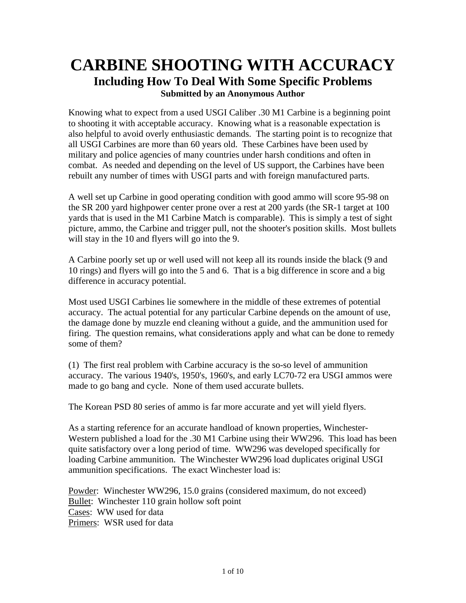## **CARBINE SHOOTING WITH ACCURACY Including How To Deal With Some Specific Problems Submitted by an Anonymous Author**

Knowing what to expect from a used USGI Caliber .30 M1 Carbine is a beginning point to shooting it with acceptable accuracy. Knowing what is a reasonable expectation is also helpful to avoid overly enthusiastic demands. The starting point is to recognize that all USGI Carbines are more than 60 years old. These Carbines have been used by military and police agencies of many countries under harsh conditions and often in combat. As needed and depending on the level of US support, the Carbines have been rebuilt any number of times with USGI parts and with foreign manufactured parts.

A well set up Carbine in good operating condition with good ammo will score 95-98 on the SR 200 yard highpower center prone over a rest at 200 yards (the SR-1 target at 100 yards that is used in the M1 Carbine Match is comparable). This is simply a test of sight picture, ammo, the Carbine and trigger pull, not the shooter's position skills. Most bullets will stay in the 10 and flyers will go into the 9.

A Carbine poorly set up or well used will not keep all its rounds inside the black (9 and 10 rings) and flyers will go into the 5 and 6. That is a big difference in score and a big difference in accuracy potential.

Most used USGI Carbines lie somewhere in the middle of these extremes of potential accuracy. The actual potential for any particular Carbine depends on the amount of use, the damage done by muzzle end cleaning without a guide, and the ammunition used for firing. The question remains, what considerations apply and what can be done to remedy some of them?

(1) The first real problem with Carbine accuracy is the so-so level of ammunition accuracy. The various 1940's, 1950's, 1960's, and early LC70-72 era USGI ammos were made to go bang and cycle. None of them used accurate bullets.

The Korean PSD 80 series of ammo is far more accurate and yet will yield flyers.

As a starting reference for an accurate handload of known properties, Winchester-Western published a load for the .30 M1 Carbine using their WW296. This load has been quite satisfactory over a long period of time. WW296 was developed specifically for loading Carbine ammunition. The Winchester WW296 load duplicates original USGI ammunition specifications. The exact Winchester load is:

Powder: Winchester WW296, 15.0 grains (considered maximum, do not exceed) Bullet: Winchester 110 grain hollow soft point Cases: WW used for data Primers: WSR used for data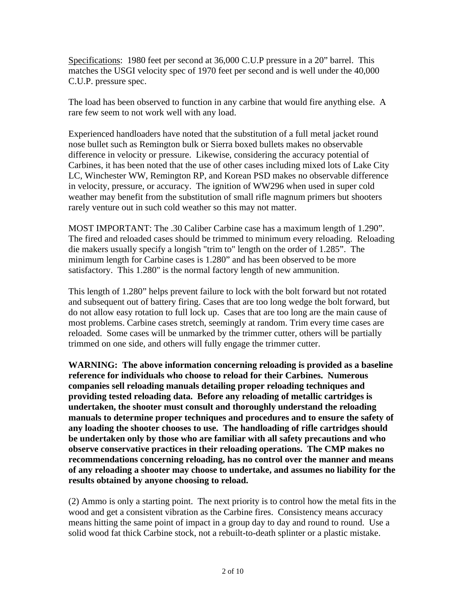Specifications: 1980 feet per second at 36,000 C.U.P pressure in a 20" barrel. This matches the USGI velocity spec of 1970 feet per second and is well under the 40,000 C.U.P. pressure spec.

The load has been observed to function in any carbine that would fire anything else. A rare few seem to not work well with any load.

Experienced handloaders have noted that the substitution of a full metal jacket round nose bullet such as Remington bulk or Sierra boxed bullets makes no observable difference in velocity or pressure. Likewise, considering the accuracy potential of Carbines, it has been noted that the use of other cases including mixed lots of Lake City LC, Winchester WW, Remington RP, and Korean PSD makes no observable difference in velocity, pressure, or accuracy. The ignition of WW296 when used in super cold weather may benefit from the substitution of small rifle magnum primers but shooters rarely venture out in such cold weather so this may not matter.

MOST IMPORTANT: The .30 Caliber Carbine case has a maximum length of 1.290". The fired and reloaded cases should be trimmed to minimum every reloading. Reloading die makers usually specify a longish "trim to" length on the order of 1.285". The minimum length for Carbine cases is 1.280" and has been observed to be more satisfactory. This 1.280" is the normal factory length of new ammunition.

This length of 1.280" helps prevent failure to lock with the bolt forward but not rotated and subsequent out of battery firing. Cases that are too long wedge the bolt forward, but do not allow easy rotation to full lock up. Cases that are too long are the main cause of most problems. Carbine cases stretch, seemingly at random. Trim every time cases are reloaded. Some cases will be unmarked by the trimmer cutter, others will be partially trimmed on one side, and others will fully engage the trimmer cutter.

**WARNING: The above information concerning reloading is provided as a baseline reference for individuals who choose to reload for their Carbines. Numerous companies sell reloading manuals detailing proper reloading techniques and providing tested reloading data. Before any reloading of metallic cartridges is undertaken, the shooter must consult and thoroughly understand the reloading manuals to determine proper techniques and procedures and to ensure the safety of any loading the shooter chooses to use. The handloading of rifle cartridges should be undertaken only by those who are familiar with all safety precautions and who observe conservative practices in their reloading operations. The CMP makes no recommendations concerning reloading, has no control over the manner and means of any reloading a shooter may choose to undertake, and assumes no liability for the results obtained by anyone choosing to reload.**

(2) Ammo is only a starting point. The next priority is to control how the metal fits in the wood and get a consistent vibration as the Carbine fires. Consistency means accuracy means hitting the same point of impact in a group day to day and round to round. Use a solid wood fat thick Carbine stock, not a rebuilt-to-death splinter or a plastic mistake.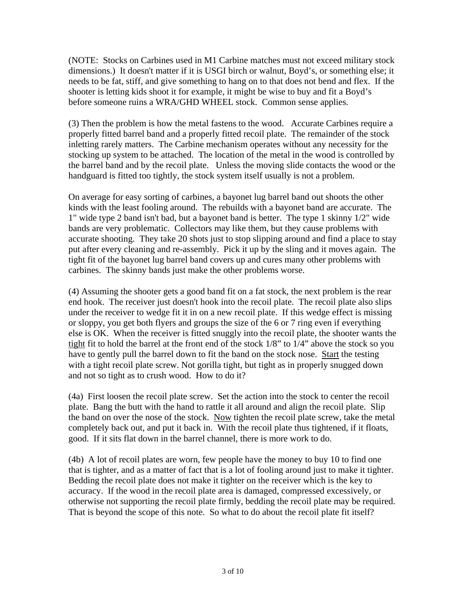(NOTE: Stocks on Carbines used in M1 Carbine matches must not exceed military stock dimensions.) It doesn't matter if it is USGI birch or walnut, Boyd's, or something else; it needs to be fat, stiff, and give something to hang on to that does not bend and flex. If the shooter is letting kids shoot it for example, it might be wise to buy and fit a Boyd's before someone ruins a WRA/GHD WHEEL stock. Common sense applies.

(3) Then the problem is how the metal fastens to the wood. Accurate Carbines require a properly fitted barrel band and a properly fitted recoil plate. The remainder of the stock inletting rarely matters. The Carbine mechanism operates without any necessity for the stocking up system to be attached. The location of the metal in the wood is controlled by the barrel band and by the recoil plate. Unless the moving slide contacts the wood or the handguard is fitted too tightly, the stock system itself usually is not a problem.

On average for easy sorting of carbines, a bayonet lug barrel band out shoots the other kinds with the least fooling around. The rebuilds with a bayonet band are accurate. The 1" wide type 2 band isn't bad, but a bayonet band is better. The type 1 skinny 1/2" wide bands are very problematic. Collectors may like them, but they cause problems with accurate shooting. They take 20 shots just to stop slipping around and find a place to stay put after every cleaning and re-assembly. Pick it up by the sling and it moves again. The tight fit of the bayonet lug barrel band covers up and cures many other problems with carbines. The skinny bands just make the other problems worse.

(4) Assuming the shooter gets a good band fit on a fat stock, the next problem is the rear end hook. The receiver just doesn't hook into the recoil plate. The recoil plate also slips under the receiver to wedge fit it in on a new recoil plate. If this wedge effect is missing or sloppy, you get both flyers and groups the size of the 6 or 7 ring even if everything else is OK. When the receiver is fitted snuggly into the recoil plate, the shooter wants the tight fit to hold the barrel at the front end of the stock 1/8" to 1/4" above the stock so you have to gently pull the barrel down to fit the band on the stock nose. Start the testing with a tight recoil plate screw. Not gorilla tight, but tight as in properly snugged down and not so tight as to crush wood. How to do it?

(4a) First loosen the recoil plate screw. Set the action into the stock to center the recoil plate. Bang the butt with the hand to rattle it all around and align the recoil plate. Slip the band on over the nose of the stock. Now tighten the recoil plate screw, take the metal completely back out, and put it back in. With the recoil plate thus tightened, if it floats, good. If it sits flat down in the barrel channel, there is more work to do.

(4b) A lot of recoil plates are worn, few people have the money to buy 10 to find one that is tighter, and as a matter of fact that is a lot of fooling around just to make it tighter. Bedding the recoil plate does not make it tighter on the receiver which is the key to accuracy. If the wood in the recoil plate area is damaged, compressed excessively, or otherwise not supporting the recoil plate firmly, bedding the recoil plate may be required. That is beyond the scope of this note. So what to do about the recoil plate fit itself?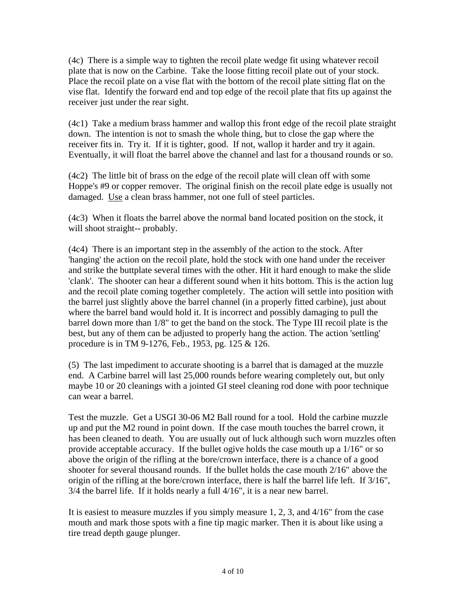(4c) There is a simple way to tighten the recoil plate wedge fit using whatever recoil plate that is now on the Carbine. Take the loose fitting recoil plate out of your stock. Place the recoil plate on a vise flat with the bottom of the recoil plate sitting flat on the vise flat. Identify the forward end and top edge of the recoil plate that fits up against the receiver just under the rear sight.

(4c1) Take a medium brass hammer and wallop this front edge of the recoil plate straight down. The intention is not to smash the whole thing, but to close the gap where the receiver fits in. Try it. If it is tighter, good. If not, wallop it harder and try it again. Eventually, it will float the barrel above the channel and last for a thousand rounds or so.

(4c2) The little bit of brass on the edge of the recoil plate will clean off with some Hoppe's #9 or copper remover. The original finish on the recoil plate edge is usually not damaged. Use a clean brass hammer, not one full of steel particles.

(4c3) When it floats the barrel above the normal band located position on the stock, it will shoot straight-- probably.

(4c4) There is an important step in the assembly of the action to the stock. After 'hanging' the action on the recoil plate, hold the stock with one hand under the receiver and strike the buttplate several times with the other. Hit it hard enough to make the slide 'clank'. The shooter can hear a different sound when it hits bottom. This is the action lug and the recoil plate coming together completely. The action will settle into position with the barrel just slightly above the barrel channel (in a properly fitted carbine), just about where the barrel band would hold it. It is incorrect and possibly damaging to pull the barrel down more than 1/8" to get the band on the stock. The Type III recoil plate is the best, but any of them can be adjusted to properly hang the action. The action 'settling' procedure is in TM 9-1276, Feb., 1953, pg. 125 & 126.

(5) The last impediment to accurate shooting is a barrel that is damaged at the muzzle end. A Carbine barrel will last 25,000 rounds before wearing completely out, but only maybe 10 or 20 cleanings with a jointed GI steel cleaning rod done with poor technique can wear a barrel.

Test the muzzle. Get a USGI 30-06 M2 Ball round for a tool. Hold the carbine muzzle up and put the M2 round in point down. If the case mouth touches the barrel crown, it has been cleaned to death. You are usually out of luck although such worn muzzles often provide acceptable accuracy. If the bullet ogive holds the case mouth up a 1/16" or so above the origin of the rifling at the bore/crown interface, there is a chance of a good shooter for several thousand rounds. If the bullet holds the case mouth 2/16" above the origin of the rifling at the bore/crown interface, there is half the barrel life left. If 3/16", 3/4 the barrel life. If it holds nearly a full 4/16", it is a near new barrel.

It is easiest to measure muzzles if you simply measure 1, 2, 3, and 4/16" from the case mouth and mark those spots with a fine tip magic marker. Then it is about like using a tire tread depth gauge plunger.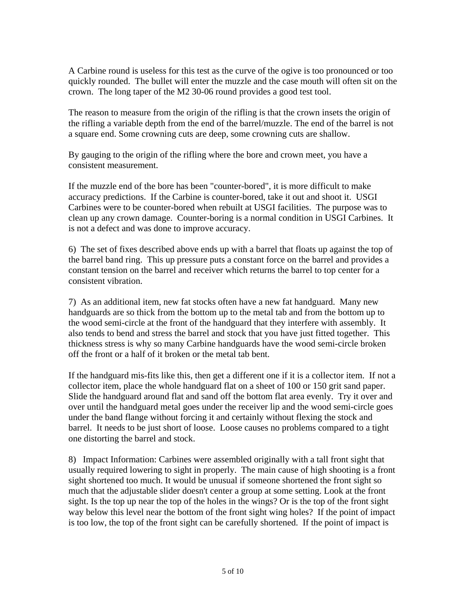A Carbine round is useless for this test as the curve of the ogive is too pronounced or too quickly rounded. The bullet will enter the muzzle and the case mouth will often sit on the crown. The long taper of the M2 30-06 round provides a good test tool.

The reason to measure from the origin of the rifling is that the crown insets the origin of the rifling a variable depth from the end of the barrel/muzzle. The end of the barrel is not a square end. Some crowning cuts are deep, some crowning cuts are shallow.

By gauging to the origin of the rifling where the bore and crown meet, you have a consistent measurement.

If the muzzle end of the bore has been "counter-bored", it is more difficult to make accuracy predictions. If the Carbine is counter-bored, take it out and shoot it. USGI Carbines were to be counter-bored when rebuilt at USGI facilities. The purpose was to clean up any crown damage. Counter-boring is a normal condition in USGI Carbines. It is not a defect and was done to improve accuracy.

6) The set of fixes described above ends up with a barrel that floats up against the top of the barrel band ring. This up pressure puts a constant force on the barrel and provides a constant tension on the barrel and receiver which returns the barrel to top center for a consistent vibration.

7) As an additional item, new fat stocks often have a new fat handguard. Many new handguards are so thick from the bottom up to the metal tab and from the bottom up to the wood semi-circle at the front of the handguard that they interfere with assembly. It also tends to bend and stress the barrel and stock that you have just fitted together. This thickness stress is why so many Carbine handguards have the wood semi-circle broken off the front or a half of it broken or the metal tab bent.

If the handguard mis-fits like this, then get a different one if it is a collector item. If not a collector item, place the whole handguard flat on a sheet of 100 or 150 grit sand paper. Slide the handguard around flat and sand off the bottom flat area evenly. Try it over and over until the handguard metal goes under the receiver lip and the wood semi-circle goes under the band flange without forcing it and certainly without flexing the stock and barrel. It needs to be just short of loose. Loose causes no problems compared to a tight one distorting the barrel and stock.

8) Impact Information: Carbines were assembled originally with a tall front sight that usually required lowering to sight in properly. The main cause of high shooting is a front sight shortened too much. It would be unusual if someone shortened the front sight so much that the adjustable slider doesn't center a group at some setting. Look at the front sight. Is the top up near the top of the holes in the wings? Or is the top of the front sight way below this level near the bottom of the front sight wing holes? If the point of impact is too low, the top of the front sight can be carefully shortened. If the point of impact is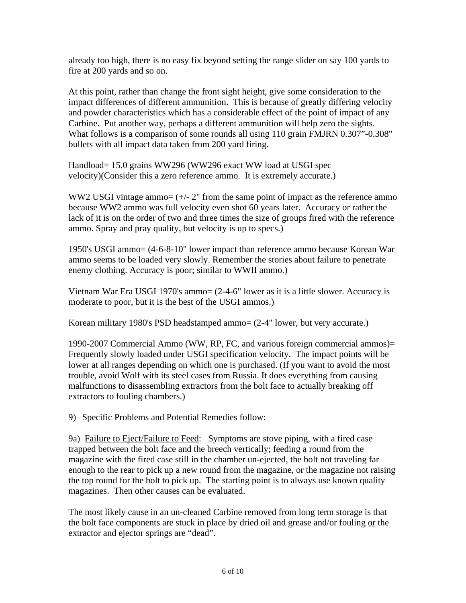already too high, there is no easy fix beyond setting the range slider on say 100 yards to fire at 200 yards and so on.

At this point, rather than change the front sight height, give some consideration to the impact differences of different ammunition. This is because of greatly differing velocity and powder characteristics which has a considerable effect of the point of impact of any Carbine. Put another way, perhaps a different ammunition will help zero the sights. What follows is a comparison of some rounds all using 110 grain FMJRN 0.307"-0.308" bullets with all impact data taken from 200 yard firing.

Handload= 15.0 grains WW296 (WW296 exact WW load at USGI spec velocity)(Consider this a zero reference ammo. It is extremely accurate.)

WW2 USGI vintage ammo=  $(+/- 2"$  from the same point of impact as the reference ammo because WW2 ammo was full velocity even shot 60 years later. Accuracy or rather the lack of it is on the order of two and three times the size of groups fired with the reference ammo. Spray and pray quality, but velocity is up to specs.)

1950's USGI ammo= (4-6-8-10" lower impact than reference ammo because Korean War ammo seems to be loaded very slowly. Remember the stories about failure to penetrate enemy clothing. Accuracy is poor; similar to WWII ammo.)

Vietnam War Era USGI 1970's ammo= (2-4-6" lower as it is a little slower. Accuracy is moderate to poor, but it is the best of the USGI ammos.)

Korean military 1980's PSD headstamped ammo= (2-4" lower, but very accurate.)

1990-2007 Commercial Ammo (WW, RP, FC, and various foreign commercial ammos)= Frequently slowly loaded under USGI specification velocity. The impact points will be lower at all ranges depending on which one is purchased. (If you want to avoid the most trouble, avoid Wolf with its steel cases from Russia. It does everything from causing malfunctions to disassembling extractors from the bolt face to actually breaking off extractors to fouling chambers.)

9) Specific Problems and Potential Remedies follow:

9a) Failure to Eject/Failure to Feed: Symptoms are stove piping, with a fired case trapped between the bolt face and the breech vertically; feeding a round from the magazine with the fired case still in the chamber un-ejected, the bolt not traveling far enough to the rear to pick up a new round from the magazine, or the magazine not raising the top round for the bolt to pick up. The starting point is to always use known quality magazines. Then other causes can be evaluated.

The most likely cause in an un-cleaned Carbine removed from long term storage is that the bolt face components are stuck in place by dried oil and grease and/or fouling or the extractor and ejector springs are "dead".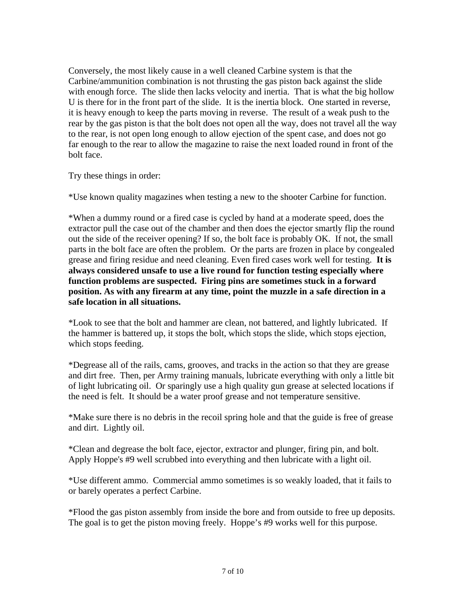Conversely, the most likely cause in a well cleaned Carbine system is that the Carbine/ammunition combination is not thrusting the gas piston back against the slide with enough force. The slide then lacks velocity and inertia. That is what the big hollow U is there for in the front part of the slide. It is the inertia block. One started in reverse, it is heavy enough to keep the parts moving in reverse. The result of a weak push to the rear by the gas piston is that the bolt does not open all the way, does not travel all the way to the rear, is not open long enough to allow ejection of the spent case, and does not go far enough to the rear to allow the magazine to raise the next loaded round in front of the bolt face.

Try these things in order:

\*Use known quality magazines when testing a new to the shooter Carbine for function.

\*When a dummy round or a fired case is cycled by hand at a moderate speed, does the extractor pull the case out of the chamber and then does the ejector smartly flip the round out the side of the receiver opening? If so, the bolt face is probably OK. If not, the small parts in the bolt face are often the problem. Or the parts are frozen in place by congealed grease and firing residue and need cleaning. Even fired cases work well for testing. **It is always considered unsafe to use a live round for function testing especially where function problems are suspected. Firing pins are sometimes stuck in a forward position. As with any firearm at any time, point the muzzle in a safe direction in a safe location in all situations.** 

\*Look to see that the bolt and hammer are clean, not battered, and lightly lubricated. If the hammer is battered up, it stops the bolt, which stops the slide, which stops ejection, which stops feeding.

\*Degrease all of the rails, cams, grooves, and tracks in the action so that they are grease and dirt free. Then, per Army training manuals, lubricate everything with only a little bit of light lubricating oil. Or sparingly use a high quality gun grease at selected locations if the need is felt. It should be a water proof grease and not temperature sensitive.

\*Make sure there is no debris in the recoil spring hole and that the guide is free of grease and dirt. Lightly oil.

\*Clean and degrease the bolt face, ejector, extractor and plunger, firing pin, and bolt. Apply Hoppe's #9 well scrubbed into everything and then lubricate with a light oil.

\*Use different ammo. Commercial ammo sometimes is so weakly loaded, that it fails to or barely operates a perfect Carbine.

\*Flood the gas piston assembly from inside the bore and from outside to free up deposits. The goal is to get the piston moving freely. Hoppe's #9 works well for this purpose.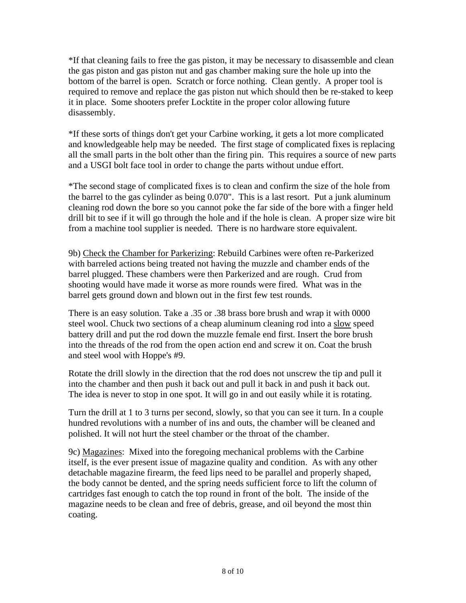\*If that cleaning fails to free the gas piston, it may be necessary to disassemble and clean the gas piston and gas piston nut and gas chamber making sure the hole up into the bottom of the barrel is open. Scratch or force nothing. Clean gently. A proper tool is required to remove and replace the gas piston nut which should then be re-staked to keep it in place. Some shooters prefer Locktite in the proper color allowing future disassembly.

\*If these sorts of things don't get your Carbine working, it gets a lot more complicated and knowledgeable help may be needed. The first stage of complicated fixes is replacing all the small parts in the bolt other than the firing pin. This requires a source of new parts and a USGI bolt face tool in order to change the parts without undue effort.

\*The second stage of complicated fixes is to clean and confirm the size of the hole from the barrel to the gas cylinder as being 0.070". This is a last resort. Put a junk aluminum cleaning rod down the bore so you cannot poke the far side of the bore with a finger held drill bit to see if it will go through the hole and if the hole is clean. A proper size wire bit from a machine tool supplier is needed. There is no hardware store equivalent.

9b) Check the Chamber for Parkerizing: Rebuild Carbines were often re-Parkerized with barreled actions being treated not having the muzzle and chamber ends of the barrel plugged. These chambers were then Parkerized and are rough. Crud from shooting would have made it worse as more rounds were fired. What was in the barrel gets ground down and blown out in the first few test rounds.

There is an easy solution. Take a .35 or .38 brass bore brush and wrap it with 0000 steel wool. Chuck two sections of a cheap aluminum cleaning rod into a slow speed battery drill and put the rod down the muzzle female end first. Insert the bore brush into the threads of the rod from the open action end and screw it on. Coat the brush and steel wool with Hoppe's #9.

Rotate the drill slowly in the direction that the rod does not unscrew the tip and pull it into the chamber and then push it back out and pull it back in and push it back out. The idea is never to stop in one spot. It will go in and out easily while it is rotating.

Turn the drill at 1 to 3 turns per second, slowly, so that you can see it turn. In a couple hundred revolutions with a number of ins and outs, the chamber will be cleaned and polished. It will not hurt the steel chamber or the throat of the chamber.

9c) Magazines: Mixed into the foregoing mechanical problems with the Carbine itself, is the ever present issue of magazine quality and condition. As with any other detachable magazine firearm, the feed lips need to be parallel and properly shaped, the body cannot be dented, and the spring needs sufficient force to lift the column of cartridges fast enough to catch the top round in front of the bolt. The inside of the magazine needs to be clean and free of debris, grease, and oil beyond the most thin coating.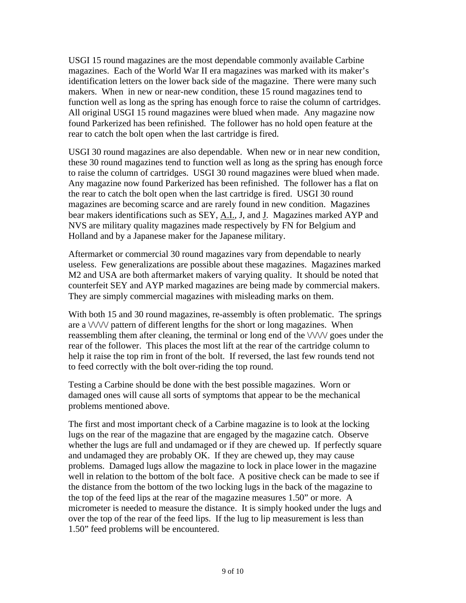USGI 15 round magazines are the most dependable commonly available Carbine magazines. Each of the World War II era magazines was marked with its maker's identification letters on the lower back side of the magazine. There were many such makers. When in new or near-new condition, these 15 round magazines tend to function well as long as the spring has enough force to raise the column of cartridges. All original USGI 15 round magazines were blued when made. Any magazine now found Parkerized has been refinished. The follower has no hold open feature at the rear to catch the bolt open when the last cartridge is fired.

USGI 30 round magazines are also dependable. When new or in near new condition, these 30 round magazines tend to function well as long as the spring has enough force to raise the column of cartridges. USGI 30 round magazines were blued when made. Any magazine now found Parkerized has been refinished. The follower has a flat on the rear to catch the bolt open when the last cartridge is fired. USGI 30 round magazines are becoming scarce and are rarely found in new condition. Magazines bear makers identifications such as SEY, A.I., J, and J. Magazines marked AYP and NVS are military quality magazines made respectively by FN for Belgium and Holland and by a Japanese maker for the Japanese military.

Aftermarket or commercial 30 round magazines vary from dependable to nearly useless. Few generalizations are possible about these magazines. Magazines marked M2 and USA are both aftermarket makers of varying quality. It should be noted that counterfeit SEY and AYP marked magazines are being made by commercial makers. They are simply commercial magazines with misleading marks on them.

With both 15 and 30 round magazines, re-assembly is often problematic. The springs are a  $\sqrt{\frac{1}{\sqrt{\pi}}}$  pattern of different lengths for the short or long magazines. When reassembling them after cleaning, the terminal or long end of the  $\sqrt{\frac{1}{\sqrt{2}}}$  goes under the rear of the follower. This places the most lift at the rear of the cartridge column to help it raise the top rim in front of the bolt. If reversed, the last few rounds tend not to feed correctly with the bolt over-riding the top round.

Testing a Carbine should be done with the best possible magazines. Worn or damaged ones will cause all sorts of symptoms that appear to be the mechanical problems mentioned above.

The first and most important check of a Carbine magazine is to look at the locking lugs on the rear of the magazine that are engaged by the magazine catch. Observe whether the lugs are full and undamaged or if they are chewed up. If perfectly square and undamaged they are probably OK. If they are chewed up, they may cause problems. Damaged lugs allow the magazine to lock in place lower in the magazine well in relation to the bottom of the bolt face. A positive check can be made to see if the distance from the bottom of the two locking lugs in the back of the magazine to the top of the feed lips at the rear of the magazine measures 1.50" or more. A micrometer is needed to measure the distance. It is simply hooked under the lugs and over the top of the rear of the feed lips. If the lug to lip measurement is less than 1.50" feed problems will be encountered.